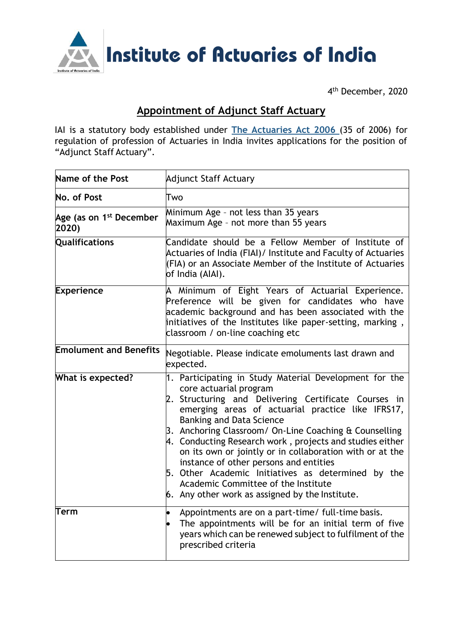

4 th December, 2020

## **Appointment of Adjunct Staff Actuary**

IAI is a statutory body established under **The [Actuaries](http://www.actuariesindia.org/guidance/scanned%20GN.pdf) Act 2006** (35 of 2006) for regulation of profession of Actuaries in India invites applications for the position of "Adjunct Staff Actuary".

| Name of the Post                             | <b>Adjunct Staff Actuary</b>                                                                                                                                                                                                                                                                                                                                                                                                                                                                                                                                                                                   |
|----------------------------------------------|----------------------------------------------------------------------------------------------------------------------------------------------------------------------------------------------------------------------------------------------------------------------------------------------------------------------------------------------------------------------------------------------------------------------------------------------------------------------------------------------------------------------------------------------------------------------------------------------------------------|
| No. of Post                                  | Two                                                                                                                                                                                                                                                                                                                                                                                                                                                                                                                                                                                                            |
| Age (as on 1 <sup>st</sup> December<br>2020) | Minimum Age - not less than 35 years<br>Maximum Age - not more than 55 years                                                                                                                                                                                                                                                                                                                                                                                                                                                                                                                                   |
| <b>Qualifications</b>                        | Candidate should be a Fellow Member of Institute of<br>Actuaries of India (FIAI)/ Institute and Faculty of Actuaries<br>(FIA) or an Associate Member of the Institute of Actuaries<br>of India (AIAI).                                                                                                                                                                                                                                                                                                                                                                                                         |
| <b>Experience</b>                            | A Minimum of Eight Years of Actuarial Experience.<br>Preference will be given for candidates who have<br>academic background and has been associated with the<br>initiatives of the Institutes like paper-setting, marking,<br>classroom / on-line coaching etc                                                                                                                                                                                                                                                                                                                                                |
| <b>Emolument and Benefits</b>                | Negotiable. Please indicate emoluments last drawn and<br>expected.                                                                                                                                                                                                                                                                                                                                                                                                                                                                                                                                             |
| What is expected?                            | 1. Participating in Study Material Development for the<br>core actuarial program<br>2. Structuring and Delivering Certificate Courses in<br>emerging areas of actuarial practice like IFRS17,<br><b>Banking and Data Science</b><br>3. Anchoring Classroom/ On-Line Coaching & Counselling<br>4. Conducting Research work, projects and studies either<br>on its own or jointly or in collaboration with or at the<br>instance of other persons and entities<br>5. Other Academic Initiatives as determined by the<br>Academic Committee of the Institute<br>$6.$ Any other work as assigned by the Institute. |
| Term                                         | Appointments are on a part-time/ full-time basis.<br>The appointments will be for an initial term of five<br>years which can be renewed subject to fulfilment of the<br>prescribed criteria                                                                                                                                                                                                                                                                                                                                                                                                                    |